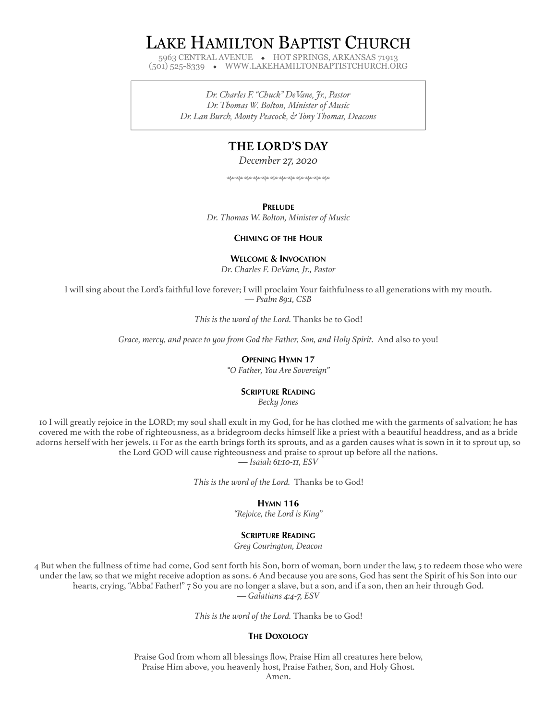# LAKE HAMILTON BAPTIST CHURCH

5963 CENTRAL AVENUE ◆ HOT SPRINGS, ARKANSAS 71913 (501) 525-8339 ◆ WWW.LAKEHAMILTONBAPTISTCHURCH.ORG

> *Dr. Charles F. "Chuck" DeVane, Jr., Pastor Dr. Thomas W. Bolton, Minister of Music Dr. Lan Burch, Monty Peacock, & Tony Thomas, Deacons*

# **THE LORD'S DAY**

*December 27, 2020*

hhhhhhhhhhhh

**PRELUDE**

*Dr. Thomas W. Bolton, Minister of Music*

## **CHIMING OF THE HOUR**

# **WELCOME & INVOCATION**

*Dr. Charles F. DeVane, Jr., Pastor*

I will sing about the Lord's faithful love forever; I will proclaim Your faithfulness to all generations with my mouth. *— Psalm 89:1, CSB*

*This is the word of the Lord.* Thanks be to God!

*Grace, mercy, and peace to you from God the Father, Son, and Holy Spirit.* And also to you!

# **OPENING HYMN 17**

*"O Father, You Are Sovereign"*

# **SCRIPTURE READING**

*Becky Jones*

10 I will greatly rejoice in the LORD; my soul shall exult in my God, for he has clothed me with the garments of salvation; he has covered me with the robe of righteousness, as a bridegroom decks himself like a priest with a beautiful headdress, and as a bride adorns herself with her jewels. 11 For as the earth brings forth its sprouts, and as a garden causes what is sown in it to sprout up, so the Lord GOD will cause righteousness and praise to sprout up before all the nations.

*— Isaiah 61:10-11, ESV*

*This is the word of the Lord.* Thanks be to God!

## **HYMN 116**

*"Rejoice, the Lord is King"*

## **SCRIPTURE READING**

*Greg Courington, Deacon*

4 But when the fullness of time had come, God sent forth his Son, born of woman, born under the law, 5 to redeem those who were under the law, so that we might receive adoption as sons. 6 And because you are sons, God has sent the Spirit of his Son into our hearts, crying, "Abba! Father!" 7 So you are no longer a slave, but a son, and if a son, then an heir through God. *— Galatians 4:4-7, ESV*

*This is the word of the Lord.* Thanks be to God!

# **THE DOXOLOGY**

Praise God from whom all blessings flow, Praise Him all creatures here below, Praise Him above, you heavenly host, Praise Father, Son, and Holy Ghost.

Amen.